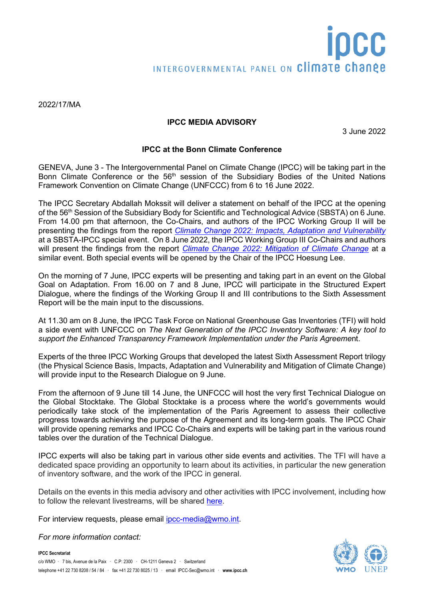## **IPCC MEDIA ADVISORY**

3 June 2022

## **IPCC at the Bonn Climate Conference**

GENEVA, June 3 - The Intergovernmental Panel on Climate Change (IPCC) will be taking part in the Bonn Climate Conference or the 56<sup>th</sup> session of the Subsidiary Bodies of the United Nations Framework Convention on Climate Change (UNFCCC) from 6 to 16 June 2022.

The IPCC Secretary Abdallah Mokssit will deliver a statement on behalf of the IPCC at the opening of the 56<sup>th</sup> Session of the Subsidiary Body for Scientific and Technological Advice (SBSTA) on 6 June. From 14.00 pm that afternoon, the Co-Chairs, and authors of the IPCC Working Group II will be presenting the findings from the report *[Climate Change 2022: Impacts, Adaptation and Vulnerability](https://www.ipcc.ch/report/sixth-assessment-report-working-group-ii/)* at a SBSTA-IPCC special event. On 8 June 2022, the IPCC Working Group III Co-Chairs and authors will present the findings from the report *[Climate Change 2022: Mitigation of Climate Change](https://www.ipcc.ch/report/sixth-assessment-report-working-group-3/)* at a similar event. Both special events will be opened by the Chair of the IPCC Hoesung Lee.

On the morning of 7 June, IPCC experts will be presenting and taking part in an event on the Global Goal on Adaptation. From 16.00 on 7 and 8 June, IPCC will participate in the Structured Expert Dialogue, where the findings of the Working Group II and III contributions to the Sixth Assessment Report will be the main input to the discussions.

At 11.30 am on 8 June, the IPCC Task Force on National Greenhouse Gas Inventories (TFI) will hold a side event with UNFCCC on *The Next Generation of the IPCC Inventory Software: A key tool to support the Enhanced Transparency Framework Implementation under the Paris Agreeme*nt.

Experts of the three IPCC Working Groups that developed the latest Sixth Assessment Report trilogy (the Physical Science Basis, Impacts, Adaptation and Vulnerability and Mitigation of Climate Change) will provide input to the Research Dialogue on 9 June.

From the afternoon of 9 June till 14 June, the UNFCCC will host the very first Technical Dialogue on the Global Stocktake. The Global Stocktake is a process where the world's governments would periodically take stock of the implementation of the Paris Agreement to assess their collective progress towards achieving the purpose of the Agreement and its long-term goals. The IPCC Chair will provide opening remarks and IPCC Co-Chairs and experts will be taking part in the various round tables over the duration of the Technical Dialogue.

IPCC experts will also be taking part in various other side events and activities. The TFI will have a dedicated space providing an opportunity to learn about its activities, in particular the new generation of inventory software, and the work of the IPCC in general.

Details on the events in this media advisory and other activities with IPCC involvement, including how to follow the relevant livestreams, will be shared [here.](https://www.ipcc.ch/event/ipcc-at-the-bonn-climate-conference/)

For interview requests, please email [ipcc-media@wmo.int.](mailto:ipcc-media@wmo.int)

*For more information contact:* 

**IPCC Secretariat**



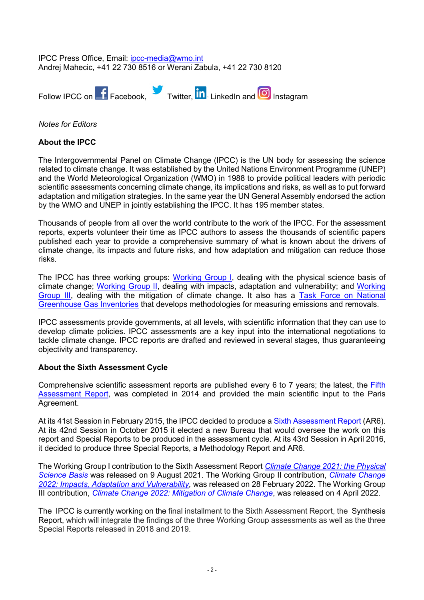IPCC Press Office, Email: [ipcc-media@wmo.int](mailto:ipcc-media@wmo.int) Andrej Mahecic, +41 22 730 8516 or Werani Zabula, +41 22 730 8120



*Notes for Editors*

## **About the IPCC**

The Intergovernmental Panel on Climate Change (IPCC) is the UN body for assessing the science related to climate change. It was established by the United Nations Environment Programme (UNEP) and the World Meteorological Organization (WMO) in 1988 to provide political leaders with periodic scientific assessments concerning climate change, its implications and risks, as well as to put forward adaptation and mitigation strategies. In the same year the UN General Assembly endorsed the action by the WMO and UNEP in jointly establishing the IPCC. It has 195 member states.

Thousands of people from all over the world contribute to the work of the IPCC. For the assessment reports, experts volunteer their time as IPCC authors to assess the thousands of scientific papers published each year to provide a comprehensive summary of what is known about the drivers of climate change, its impacts and future risks, and how adaptation and mitigation can reduce those risks.

The IPCC has three working groups: [Working Group I,](https://www.ipcc.ch/working-group/wg1/) dealing with the physical science basis of climate change; [Working Group II,](https://www.ipcc.ch/working-group/wg2/) dealing with impacts, adaptation and vulnerability; and [Working](https://www.ipcc.ch/working-group/wg3/)  [Group III,](https://www.ipcc.ch/working-group/wg3/) dealing with the mitigation of climate change. It also has a [Task Force on National](https://www.ipcc.ch/working-group/tfi/)  [Greenhouse Gas Inventories](https://www.ipcc.ch/working-group/tfi/) that develops methodologies for measuring emissions and removals.

IPCC assessments provide governments, at all levels, with scientific information that they can use to develop climate policies. IPCC assessments are a key input into the international negotiations to tackle climate change. IPCC reports are drafted and reviewed in several stages, thus guaranteeing objectivity and transparency.

## **About the Sixth Assessment Cycle**

Comprehensive scientific assessment reports are published every 6 to 7 years; the latest, the Fifth [Assessment Report,](https://www.ipcc.ch/assessment-report/ar5/) was completed in 2014 and provided the main scientific input to the Paris Agreement.

At its 41st Session in February 2015, the IPCC decided to produce a [Sixth Assessment Report](https://www.ipcc.ch/assessment-report/ar6/) (AR6). At its 42nd Session in October 2015 it elected a new Bureau that would oversee the work on this report and Special Reports to be produced in the assessment cycle. At its 43rd Session in April 2016, it decided to produce three Special Reports, a Methodology Report and AR6.

The Working Group I contribution to the Sixth Assessment Report *[Climate Change 2021: the Physical](https://www.ipcc.ch/report/sixth-assessment-report-working-group-i/)  [Science Basis](https://www.ipcc.ch/report/sixth-assessment-report-working-group-i/)* was released on 9 August 2021. The Working Group II contribution, *[Climate Change](https://www.ipcc.ch/report/sixth-assessment-report-working-group-ii/)  [2022: Impacts, Adaptation and Vulnerability,](https://www.ipcc.ch/report/sixth-assessment-report-working-group-ii/)* was released on 28 February 2022. The Working Group III contribution, *[Climate Change 2022: Mitigation of Climate Change](https://www.ipcc.ch/report/sixth-assessment-report-working-group-3/)*, was released on 4 April 2022.

The IPCC is currently working on the final installment to the Sixth Assessment Report, the Synthesis Report, which will integrate the findings of the three Working Group assessments as well as the three Special Reports released in 2018 and 2019.